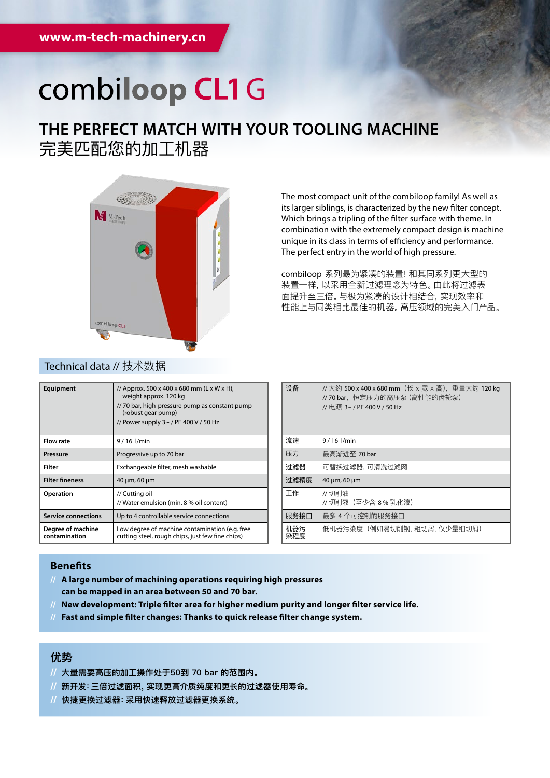# combiloop CL1 G

## **THE PERFECT MATCH WITH YOUR TOOLING MACHINE** 完美匹配您的加工机器



The most compact unit of the combiloop family! As well as its larger siblings, is characterized by the new filter concept. Which brings a tripling of the filter surface with theme. In combination with the extremely compact design is machine unique in its class in terms of efficiency and performance. The perfect entry in the world of high pressure.

combiloop 系列最为紧凑的装置!和其同系列更大型的 装置一样,以采用全新过滤理念为特色。由此将过滤表 面提升至三倍。与极为紧凑的设计相结合,实现效率和 性能上与同类相比最佳的机器。高压领域的完美入门产品。

| Equipment                          | // Approx. 500 x 400 x 680 mm (L x W x H),<br>weight approx. 120 kg<br>// 70 bar, high-pressure pump as constant pump<br>(robust gear pump)<br>// Power supply $3 \sim$ / PE 400 V / 50 Hz |
|------------------------------------|--------------------------------------------------------------------------------------------------------------------------------------------------------------------------------------------|
| <b>Flow rate</b>                   | $9/16$ $l/min$                                                                                                                                                                             |
| Pressure                           | Progressive up to 70 bar                                                                                                                                                                   |
| Filter                             | Exchangeable filter, mesh washable                                                                                                                                                         |
| <b>Filter fineness</b>             | 40 µm, 60 µm                                                                                                                                                                               |
| <b>Operation</b>                   | // Cutting oil<br>// Water emulsion (min. 8 % oil content)                                                                                                                                 |
| <b>Service connections</b>         | Up to 4 controllable service connections                                                                                                                                                   |
| Degree of machine<br>contamination | Low degree of machine contamination (e.g. free<br>cutting steel, rough chips, just few fine chips)                                                                                         |
|                                    |                                                                                                                                                                                            |

| 设备         | //大约 500 x 400 x 680 mm (长 x 宽 x 高), 重量大约 120 kg<br>// 70 bar,恒定压力的高压泵 (高性能的齿轮泵)<br>// 申源 3~ / PE 400 V / 50 Hz |
|------------|-----------------------------------------------------------------------------------------------------------------|
| 流速         | $9/16$ $1/min$                                                                                                  |
| 压力         | 最高渐讲至 70 bar                                                                                                    |
| 讨滤器        | 可替换过滤器, 可清洗过滤网                                                                                                  |
| 讨滤精度       | 40 µm, 60 µm                                                                                                    |
| 工作         | //切削油<br>// 切削液 (至少含 8 % 乳化液)                                                                                   |
| 服务接口       | 最多 4 个可控制的服务接口                                                                                                  |
| 机器污<br>染程度 | 低机器污染度(例如易切削钢, 粗切屑, 仅少量细切屑)                                                                                     |

### **Benefits**

- **// A large number of machining operations requiring high pressures can be mapped in an area between 50 and 70 bar.**
- **// New development: Triple filter area for higher medium purity and longer filter service life.**
- **// Fast and simple filter changes: Thanks to quick release filter change system.**

### **优势**

- **// 大量需要高压的加工操作处于50到 70 bar 的范围内。**
- **// 新开发:三倍过滤面积,实现更高介质纯度和更长的过滤器使用寿命。**
- **// 快捷更换过滤器:采用快速释放过滤器更换系统。**

### Technical data // 技术数据